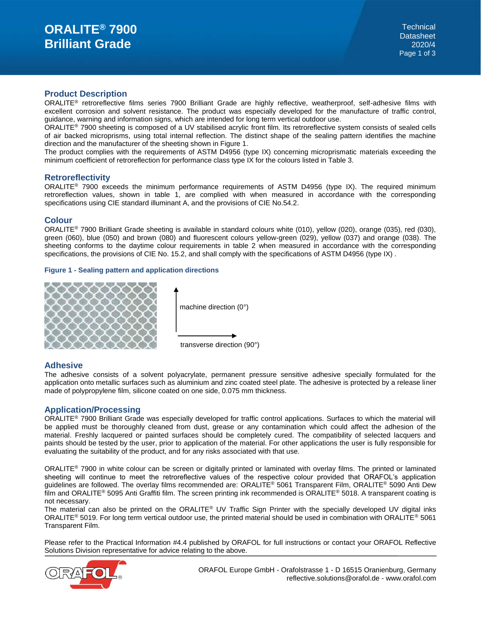# **Product Description**

ORALITE® retroreflective films series 7900 Brilliant Grade are highly reflective, weatherproof, self-adhesive films with excellent corrosion and solvent resistance. The product was especially developed for the manufacture of traffic control, guidance, warning and information signs, which are intended for long term vertical outdoor use.

ORALITE® 7900 sheeting is composed of a UV stabilised acrylic front film. Its retroreflective system consists of sealed cells of air backed microprisms, using total internal reflection. The distinct shape of the sealing pattern identifies the machine direction and the manufacturer of the sheeting shown in Figure 1.

The product complies with the requirements of ASTM D4956 (type IX) concerning microprismatic materials exceeding the minimum coefficient of retroreflection for performance class type IX for the colours listed in Table 3.

### **Retroreflectivity**

ORALITE<sup>®</sup> 7900 exceeds the minimum performance requirements of ASTM D4956 (type IX). The required minimum retroreflection values, shown in table 1, are complied with when measured in accordance with the corresponding specifications using CIE standard illuminant A, and the provisions of CIE No.54.2.

### **Colour**

ORALITE® 7900 Brilliant Grade sheeting is available in standard colours white (010), yellow (020), orange (035), red (030), green (060), blue (050) and brown (080) and fluorescent colours yellow-green (029), yellow (037) and orange (038). The sheeting conforms to the daytime colour requirements in table 2 when measured in accordance with the corresponding specifications, the provisions of CIE No. 15.2, and shall comply with the specifications of ASTM D4956 (type IX) .

#### **Figure 1 - Sealing pattern and application directions**



machine direction (0°)

transverse direction (90°)

# **Adhesive**

The adhesive consists of a solvent polyacrylate, permanent pressure sensitive adhesive specially formulated for the application onto metallic surfaces such as aluminium and zinc coated steel plate. The adhesive is protected by a release liner made of polypropylene film, silicone coated on one side, 0.075 mm thickness.

# **Application/Processing**

ORALITE® 7900 Brilliant Grade was especially developed for traffic control applications. Surfaces to which the material will be applied must be thoroughly cleaned from dust, grease or any contamination which could affect the adhesion of the material. Freshly lacquered or painted surfaces should be completely cured. The compatibility of selected lacquers and paints should be tested by the user, prior to application of the material. For other applications the user is fully responsible for evaluating the suitability of the product, and for any risks associated with that use.

ORALITE® 7900 in white colour can be screen or digitally printed or laminated with overlay films. The printed or laminated sheeting will continue to meet the retroreflective values of the respective colour provided that ORAFOL's application guidelines are followed. The overlay films recommended are: ORALITE® 5061 Transparent Film, ORALITE® 5090 Anti Dew film and ORALITE® 5095 Anti Graffiti film. The screen printing ink recommended is ORALITE® 5018. A transparent coating is not necessary.

The material can also be printed on the ORALITE® UV Traffic Sign Printer with the specially developed UV digital inks ORALITE® 5019. For long term vertical outdoor use, the printed material should be used in combination with ORALITE® 5061 Transparent Film.

Please refer to the Practical Information #4.4 published by ORAFOL for full instructions or contact your ORAFOL Reflective Solutions Division representative for advice relating to the above.

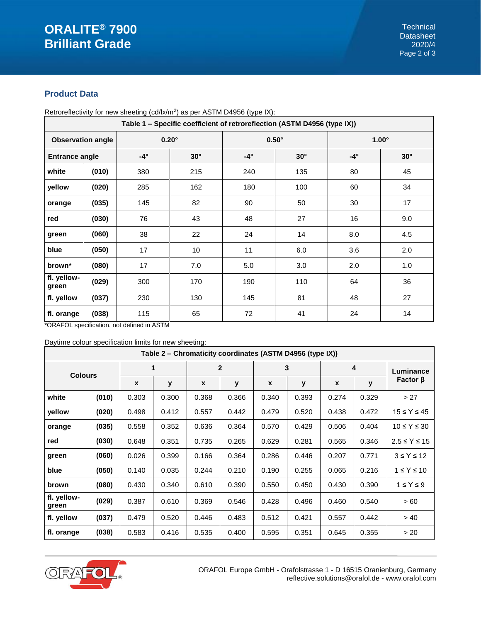# **Product Data**

| Table 1 - Specific coefficient of retroreflection (ASTM D4956 (type IX)) |       |              |            |              |            |              |            |  |
|--------------------------------------------------------------------------|-------|--------------|------------|--------------|------------|--------------|------------|--|
| <b>Observation angle</b>                                                 |       | $0.20^\circ$ |            | $0.50^\circ$ |            | $1.00^\circ$ |            |  |
| <b>Entrance angle</b>                                                    |       | $-4^\circ$   | $30^\circ$ | $-4^\circ$   | $30^\circ$ | $-4^\circ$   | $30^\circ$ |  |
| white                                                                    | (010) | 380          | 215        | 240          | 135        | 80           | 45         |  |
| yellow                                                                   | (020) | 285          | 162        | 180          | 100        | 60           | 34         |  |
| orange                                                                   | (035) | 145          | 82         | 90           | 50         | 30           | 17         |  |
| red                                                                      | (030) | 76           | 43         | 48           | 27         | 16           | 9.0        |  |
| green                                                                    | (060) | 38           | 22         | 24           | 14         | 8.0          | 4.5        |  |
| blue                                                                     | (050) | 17           | 10         | 11           | 6.0        | 3.6          | 2.0        |  |
| brown*                                                                   | (080) | 17           | 7.0        | 5.0          | 3.0        | 2.0          | 1.0        |  |
| fl. yellow-<br>green                                                     | (029) | 300          | 170        | 190          | 110        | 64           | 36         |  |
| fl. yellow                                                               | (037) | 230          | 130        | 145          | 81         | 48           | 27         |  |
| fl. orange                                                               | (038) | 115          | 65         | 72           | 41         | 24           | 14         |  |

Retroreflectivity for new sheeting (cd/lx/m<sup>2</sup>) as per ASTM D4956 (type IX):

\*ORAFOL specification, not defined in ASTM

Daytime colour specification limits for new sheeting:

| Table 2 – Chromaticity coordinates (ASTM D4956 (type IX)) |       |                  |       |                |       |       |       |       |       |                      |
|-----------------------------------------------------------|-------|------------------|-------|----------------|-------|-------|-------|-------|-------|----------------------|
| <b>Colours</b>                                            |       | 1                |       | $\overline{2}$ |       | 3     |       | 4     |       | Luminance            |
|                                                           |       | $\boldsymbol{x}$ | у     | X              | У     | X     | y     | X     | y     | Factor $\beta$       |
| white                                                     | (010) | 0.303            | 0.300 | 0.368          | 0.366 | 0.340 | 0.393 | 0.274 | 0.329 | >27                  |
| yellow                                                    | (020) | 0.498            | 0.412 | 0.557          | 0.442 | 0.479 | 0.520 | 0.438 | 0.472 | $15 \leq Y \leq 45$  |
| orange                                                    | (035) | 0.558            | 0.352 | 0.636          | 0.364 | 0.570 | 0.429 | 0.506 | 0.404 | $10 \leq Y \leq 30$  |
| red                                                       | (030) | 0.648            | 0.351 | 0.735          | 0.265 | 0.629 | 0.281 | 0.565 | 0.346 | $2.5 \leq Y \leq 15$ |
| green                                                     | (060) | 0.026            | 0.399 | 0.166          | 0.364 | 0.286 | 0.446 | 0.207 | 0.771 | $3 \leq Y \leq 12$   |
| blue                                                      | (050) | 0.140            | 0.035 | 0.244          | 0.210 | 0.190 | 0.255 | 0.065 | 0.216 | $1 \leq Y \leq 10$   |
| brown                                                     | (080) | 0.430            | 0.340 | 0.610          | 0.390 | 0.550 | 0.450 | 0.430 | 0.390 | $1 \leq Y \leq 9$    |
| fl. yellow-<br>green                                      | (029) | 0.387            | 0.610 | 0.369          | 0.546 | 0.428 | 0.496 | 0.460 | 0.540 | > 60                 |
| fl. yellow                                                | (037) | 0.479            | 0.520 | 0.446          | 0.483 | 0.512 | 0.421 | 0.557 | 0.442 | > 40                 |
| fl. orange                                                | (038) | 0.583            | 0.416 | 0.535          | 0.400 | 0.595 | 0.351 | 0.645 | 0.355 | > 20                 |